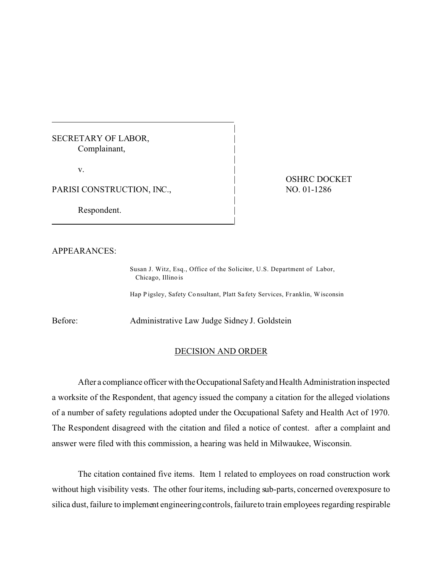## SECRETARY OF LABOR, Complainant, |

 $\mathbf{v}$ .

PARISI CONSTRUCTION, INC.,

Respondent.

OSHRC DOCKET NO. 01-1286

APPEARANCES:

Susan J. Witz, Esq., Office of the Solicitor, U.S. Department of Labor, Chicago, Illino is

|

|

|

|

|

Hap Pigsley, Safety Consultant, Platt Safety Services, Franklin, Wisconsin

Before: Administrative Law Judge Sidney J. Goldstein

## DECISION AND ORDER

After a compliance officer with the OccupationalSafetyand Health Administration inspected a worksite of the Respondent, that agency issued the company a citation for the alleged violations of a number of safety regulations adopted under the Occupational Safety and Health Act of 1970. The Respondent disagreed with the citation and filed a notice of contest. after a complaint and answer were filed with this commission, a hearing was held in Milwaukee, Wisconsin.

The citation contained five items. Item 1 related to employees on road construction work without high visibility vests. The other four items, including sub-parts, concerned overexposure to silica dust, failure to implement engineeringcontrols, failureto train employees regarding respirable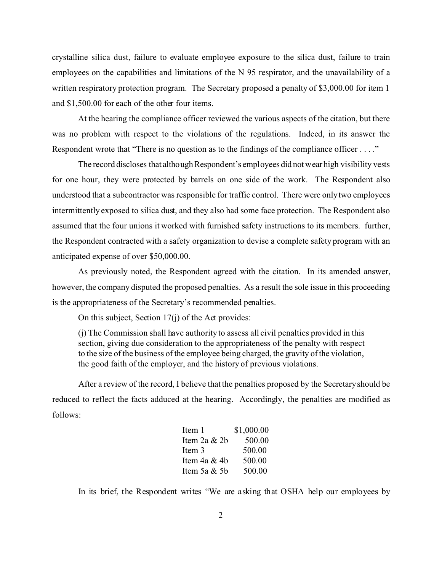crystalline silica dust, failure to evaluate employee exposure to the silica dust, failure to train employees on the capabilities and limitations of the N 95 respirator, and the unavailability of a written respiratory protection program. The Secretary proposed a penalty of \$3,000.00 for item 1 and \$1,500.00 for each of the other four items.

At the hearing the compliance officer reviewed the various aspects of the citation, but there was no problem with respect to the violations of the regulations. Indeed, in its answer the Respondent wrote that "There is no question as to the findings of the compliance officer . . . ."

The record discloses that although Respondent's employees did not wear high visibility vests for one hour, they were protected by barrels on one side of the work. The Respondent also understood that a subcontractor was responsible for traffic control. There were only two employees intermittently exposed to silica dust, and they also had some face protection. The Respondent also assumed that the four unions it worked with furnished safety instructions to its members. further, the Respondent contracted with a safety organization to devise a complete safety program with an anticipated expense of over \$50,000.00.

As previously noted, the Respondent agreed with the citation. In its amended answer, however, the company disputed the proposed penalties. As a result the sole issue in this proceeding is the appropriateness of the Secretary's recommended penalties.

On this subject, Section 17(j) of the Act provides:

(j) The Commission shall have authority to assess all civil penalties provided in this section, giving due consideration to the appropriateness of the penalty with respect to the size of the business of the employee being charged, the gravity of the violation, the good faith of the employer, and the history of previous violations.

After a review of the record, I believe that the penalties proposed by the Secretary should be reduced to reflect the facts adduced at the hearing. Accordingly, the penalties are modified as follows:

| Item 1         | \$1,000.00 |
|----------------|------------|
| Item 2a $&$ 2b | 500.00     |
| Item 3         | 500.00     |
| Item 4a & 4b   | 500.00     |
| Item 5a $&$ 5b | 500.00     |

In its brief, the Respondent writes "We are asking that OSHA help our employees by